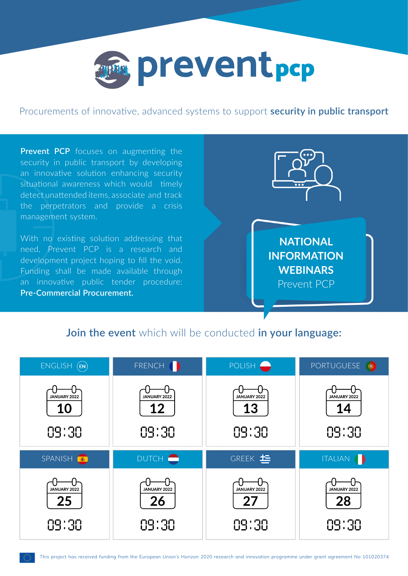

Procurements of innovative, advanced systems to support **security in public transport**

**Prevent PCP** focuses on augmenting the security in public transport by developing an innovative solution enhancing security situational awareness which would timely detect unattended items, associate and track the perpetrators and provide a crisis management system.

With no existing solution addressing that need, Prevent PCP is a research and development project hoping to fill the void. Funding shall be made available through an innovative public tender procedure: **Pre-Commercial Procurement.**



## **Join the event** which will be conducted **in your language:**

| ENGLISH (EN)                       | FRENCH (                    | POLISH <sup>®</sup>         | PORTUGUESE O                |
|------------------------------------|-----------------------------|-----------------------------|-----------------------------|
| JANUARY 2022<br><b>10</b><br>09:30 | JANUARY 2022<br>12<br>09:30 | JANUARY 2022<br>13<br>09:30 | JANUARY 2022<br>14<br>09:30 |
| SPANISH <sup>®</sup>               | DUTCH <b>O</b>              | GREEK <sup>t</sup>          | <b>ITALIAN</b><br>D         |
| JANUARY 2022<br>25                 | JANUARY 2022<br>26          | JANUARY 2022<br>27          | JANUARY 2022<br>28          |
| 09:30                              | 09:30                       | 09:30                       | 09:30                       |